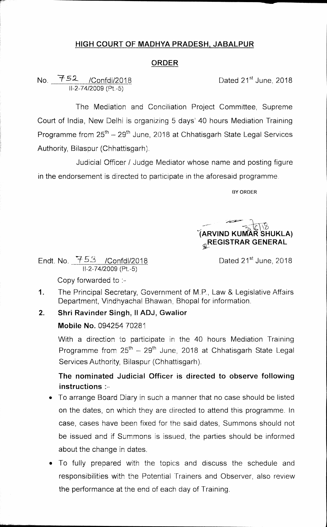# **HIGH COURT OF MADHYA PRADESH, JABALPUR**

#### **ORDER**

### No. <del>152</del> /Confdi/2018 11-2-74/2009 (Pt.-5)

Dated 21<sup>st</sup> June, 2018

The Mediation and Conciliation Project Committee, Supreme Court of India, New Delhi is organizing 5 days' 40 hours Mediation Training Programme from  $25^{th} - 29^{th}$  June, 2018 at Chhatisgarh State Legal Services Authority, Bilaspur (Chhattisgarh).

Judicial Officer / Judge Mediator whose name and posting figure in the endorsement is directed to participate in the aforesaid programme.

**BY ORDER** 

**-(^kRVIND KU11 R SHUKLA) A REGISTRAR GENERAL** 

Endt. No.  $753$  /Confdl/2018 Dated 21<sup>st</sup> June, 2018 11-2-74/2009 (Pt.-5)

Copy forwarded to :-

1. The Principal Secretary, Government of M.P., Law & Legislative Affairs Department, Vindhyachal Bhawan, Bhopal for information.

## 2. Shri Ravinder Singh, II ADJ, Gwalior

## **Mobile No.** 094254 70281

With a direction to participate in the 40 hours Mediation Training Programme from  $25^{th} - 29^{th}$  June, 2018 at Chhatisgarh State Legal Services Authority, Bilaspur (Chhattisgarh).

**The nominated Judicial Officer is directed to observe following instructions** 

- To arrange Board Diary in such a manner that no case should be listed on the dates, on which they are directed to attend this programme. In case, cases have been fixed for the said dates, Summons should not be issued and if Summons is issued, the parties should be informed about the change in dates.
- To fully prepared with the topics and discuss the schedule and responsibilities with the Potential Trainers and Observer, also review the performance at the end of each day of Training.